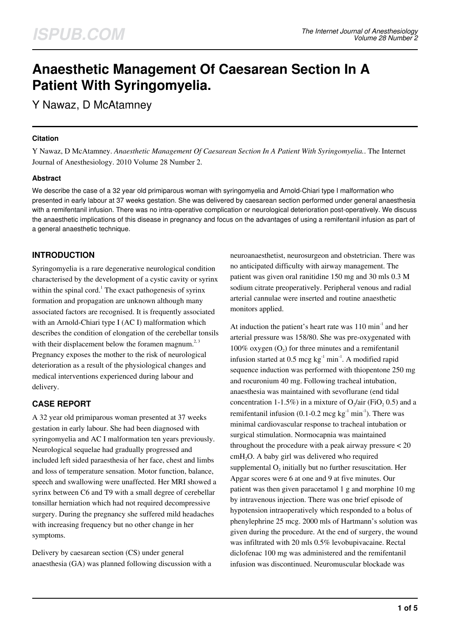# **Anaesthetic Management Of Caesarean Section In A Patient With Syringomyelia.**

Y Nawaz, D McAtamney

## **Citation**

Y Nawaz, D McAtamney. *Anaesthetic Management Of Caesarean Section In A Patient With Syringomyelia.*. The Internet Journal of Anesthesiology. 2010 Volume 28 Number 2.

## **Abstract**

We describe the case of a 32 year old primiparous woman with syringomyelia and Arnold-Chiari type I malformation who presented in early labour at 37 weeks gestation. She was delivered by caesarean section performed under general anaesthesia with a remifentanil infusion. There was no intra-operative complication or neurological deterioration post-operatively. We discuss the anaesthetic implications of this disease in pregnancy and focus on the advantages of using a remifentanil infusion as part of a general anaesthetic technique.

## **INTRODUCTION**

Syringomyelia is a rare degenerative neurological condition characterised by the development of a cystic cavity or syrinx within the spinal cord.<sup>1</sup> The exact pathogenesis of syrinx formation and propagation are unknown although many associated factors are recognised. It is frequently associated with an Arnold-Chiari type I (AC I) malformation which describes the condition of elongation of the cerebellar tonsils with their displacement below the foramen magnum.<sup>2, 3</sup> Pregnancy exposes the mother to the risk of neurological deterioration as a result of the physiological changes and medical interventions experienced during labour and delivery.

## **CASE REPORT**

A 32 year old primiparous woman presented at 37 weeks gestation in early labour. She had been diagnosed with syringomyelia and AC I malformation ten years previously. Neurological sequelae had gradually progressed and included left sided paraesthesia of her face, chest and limbs and loss of temperature sensation. Motor function, balance, speech and swallowing were unaffected. Her MRI showed a syrinx between C6 and T9 with a small degree of cerebellar tonsillar herniation which had not required decompressive surgery. During the pregnancy she suffered mild headaches with increasing frequency but no other change in her symptoms.

Delivery by caesarean section (CS) under general anaesthesia (GA) was planned following discussion with a neuroanaesthetist, neurosurgeon and obstetrician. There was no anticipated difficulty with airway management. The patient was given oral ranitidine 150 mg and 30 mls 0.3 M sodium citrate preoperatively. Peripheral venous and radial arterial cannulae were inserted and routine anaesthetic monitors applied.

At induction the patient's heart rate was  $110 \text{ min}^{-1}$  and her arterial pressure was 158/80. She was pre-oxygenated with 100% oxygen  $(O_2)$  for three minutes and a remifentanil infusion started at  $0.5 \text{~mag~kg}^{-1} \text{~min}^{-1}$ . A modified rapid sequence induction was performed with thiopentone 250 mg and rocuronium 40 mg. Following tracheal intubation, anaesthesia was maintained with sevoflurane (end tidal concentration 1-1.5%) in a mixture of  $O_2$ /air (FiO<sub>2</sub> 0.5) and a remifentanil infusion (0.1-0.2 mcg  $kg<sup>-1</sup> min<sup>-1</sup>$ ). There was minimal cardiovascular response to tracheal intubation or surgical stimulation. Normocapnia was maintained throughout the procedure with a peak airway pressure < 20 cmH<sub>2</sub>O. A baby girl was delivered who required supplemental  $O_2$  initially but no further resuscitation. Her Apgar scores were 6 at one and 9 at five minutes. Our patient was then given paracetamol 1 g and morphine 10 mg by intravenous injection. There was one brief episode of hypotension intraoperatively which responded to a bolus of phenylephrine 25 mcg. 2000 mls of Hartmann's solution was given during the procedure. At the end of surgery, the wound was infiltrated with 20 mls 0.5% levobupivacaine. Rectal diclofenac 100 mg was administered and the remifentanil infusion was discontinued. Neuromuscular blockade was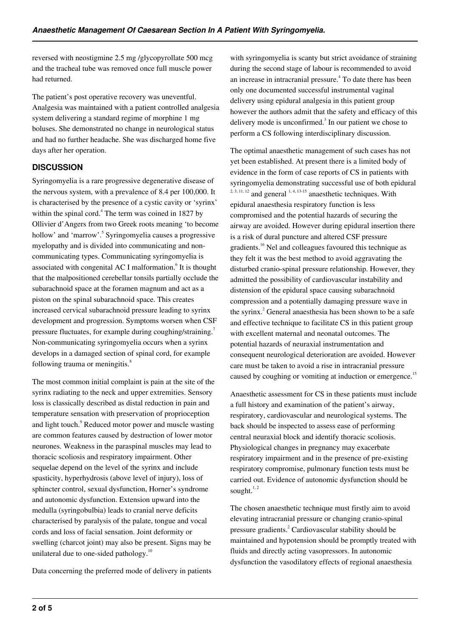reversed with neostigmine 2.5 mg /glycopyrollate 500 mcg and the tracheal tube was removed once full muscle power had returned.

The patient's post operative recovery was uneventful. Analgesia was maintained with a patient controlled analgesia system delivering a standard regime of morphine 1 mg boluses. She demonstrated no change in neurological status and had no further headache. She was discharged home five days after her operation.

## **DISCUSSION**

Syringomyelia is a rare progressive degenerative disease of the nervous system, with a prevalence of 8.4 per 100,000. It is characterised by the presence of a cystic cavity or 'syrinx' within the spinal cord. $4$  The term was coined in 1827 by Ollivier d'Angers from two Greek roots meaning 'to become hollow' and 'marrow'.<sup>5</sup> Syringomyelia causes a progressive myelopathy and is divided into communicating and noncommunicating types. Communicating syringomyelia is associated with congenital AC I malformation.<sup>6</sup> It is thought that the malpositioned cerebellar tonsils partially occlude the subarachnoid space at the foramen magnum and act as a piston on the spinal subarachnoid space. This creates increased cervical subarachnoid pressure leading to syrinx development and progression. Symptoms worsen when CSF pressure fluctuates, for example during coughing/straining.<sup>7</sup> Non-communicating syringomyelia occurs when a syrinx develops in a damaged section of spinal cord, for example following trauma or meningitis.<sup>8</sup>

The most common initial complaint is pain at the site of the syrinx radiating to the neck and upper extremities. Sensory loss is classically described as distal reduction in pain and temperature sensation with preservation of proprioception and light touch.<sup>9</sup> Reduced motor power and muscle wasting are common features caused by destruction of lower motor neurones. Weakness in the paraspinal muscles may lead to thoracic scoliosis and respiratory impairment. Other sequelae depend on the level of the syrinx and include spasticity, hyperhydrosis (above level of injury), loss of sphincter control, sexual dysfunction, Horner's syndrome and autonomic dysfunction. Extension upward into the medulla (syringobulbia) leads to cranial nerve deficits characterised by paralysis of the palate, tongue and vocal cords and loss of facial sensation. Joint deformity or swelling (charcot joint) may also be present. Signs may be unilateral due to one-sided pathology.<sup>10</sup>

Data concerning the preferred mode of delivery in patients

with syringomyelia is scanty but strict avoidance of straining during the second stage of labour is recommended to avoid an increase in intracranial pressure.<sup>4</sup> To date there has been only one documented successful instrumental vaginal delivery using epidural analgesia in this patient group however the authors admit that the safety and efficacy of this delivery mode is unconfirmed. $3$  In our patient we chose to perform a CS following interdisciplinary discussion.

The optimal anaesthetic management of such cases has not yet been established. At present there is a limited body of evidence in the form of case reports of CS in patients with syringomyelia demonstrating successful use of both epidural  $2, 3, 11, 12$  and general  $1, 4, 13-15$  anaesthetic techniques. With epidural anaesthesia respiratory function is less compromised and the potential hazards of securing the airway are avoided. However during epidural insertion there is a risk of dural puncture and altered CSF pressure gradients.<sup>16</sup> Nel and colleagues favoured this technique as they felt it was the best method to avoid aggravating the disturbed cranio-spinal pressure relationship. However, they admitted the possibility of cardiovascular instability and distension of the epidural space causing subarachnoid compression and a potentially damaging pressure wave in the syrinx. $2$  General anaesthesia has been shown to be a safe and effective technique to facilitate CS in this patient group with excellent maternal and neonatal outcomes. The potential hazards of neuraxial instrumentation and consequent neurological deterioration are avoided. However care must be taken to avoid a rise in intracranial pressure caused by coughing or vomiting at induction or emergence.<sup>15</sup>

Anaesthetic assessment for CS in these patients must include a full history and examination of the patient's airway, respiratory, cardiovascular and neurological systems. The back should be inspected to assess ease of performing central neuraxial block and identify thoracic scoliosis. Physiological changes in pregnancy may exacerbate respiratory impairment and in the presence of pre-existing respiratory compromise, pulmonary function tests must be carried out. Evidence of autonomic dysfunction should be sought. $1, 2$ 

The chosen anaesthetic technique must firstly aim to avoid elevating intracranial pressure or changing cranio-spinal pressure gradients.<sup>2</sup> Cardiovascular stability should be maintained and hypotension should be promptly treated with fluids and directly acting vasopressors. In autonomic dysfunction the vasodilatory effects of regional anaesthesia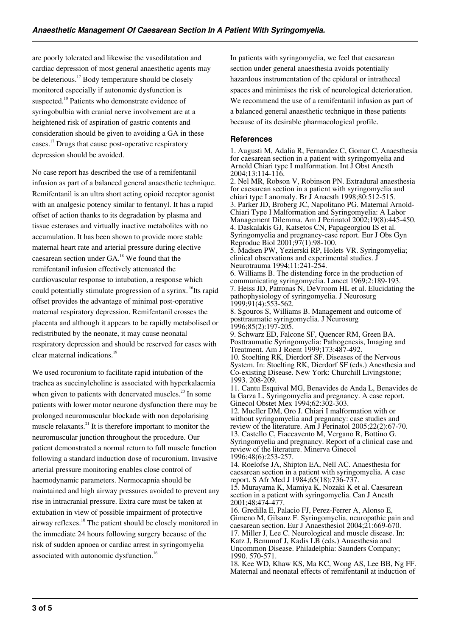are poorly tolerated and likewise the vasodilatation and cardiac depression of most general anaesthetic agents may be deleterious.<sup>17</sup> Body temperature should be closely monitored especially if autonomic dysfunction is suspected.<sup>10</sup> Patients who demonstrate evidence of syringobulbia with cranial nerve involvement are at a heightened risk of aspiration of gastric contents and consideration should be given to avoiding a GA in these cases.<sup>17</sup> Drugs that cause post-operative respiratory depression should be avoided.

No case report has described the use of a remifentanil infusion as part of a balanced general anaesthetic technique. Remifentanil is an ultra short acting opioid receptor agonist with an analgesic potency similar to fentanyl. It has a rapid offset of action thanks to its degradation by plasma and tissue esterases and virtually inactive metabolites with no accumulation. It has been shown to provide more stable maternal heart rate and arterial pressure during elective caesarean section under GA.<sup>18</sup> We found that the remifentanil infusion effectively attenuated the cardiovascular response to intubation, a response which could potentially stimulate progression of a syrinx.<sup>16</sup>Its rapid offset provides the advantage of minimal post-operative maternal respiratory depression. Remifentanil crosses the placenta and although it appears to be rapidly metabolised or redistributed by the neonate, it may cause neonatal respiratory depression and should be reserved for cases with clear maternal indications.<sup>19</sup>

We used rocuronium to facilitate rapid intubation of the trachea as succinylcholine is associated with hyperkalaemia when given to patients with denervated muscles.<sup>20</sup> In some patients with lower motor neurone dysfunction there may be prolonged neuromuscular blockade with non depolarising muscle relaxants. $^{21}$  It is therefore important to monitor the neuromuscular junction throughout the procedure. Our patient demonstrated a normal return to full muscle function following a standard induction dose of rocuronium. Invasive arterial pressure monitoring enables close control of haemodynamic parameters. Normocapnia should be maintained and high airway pressures avoided to prevent any rise in intracranial pressure. Extra care must be taken at extubation in view of possible impairment of protective airway reflexes.<sup>10</sup> The patient should be closely monitored in the immediate 24 hours following surgery because of the risk of sudden apnoea or cardiac arrest in syringomyelia associated with autonomic dysfunction.<sup>16</sup>

In patients with syringomyelia, we feel that caesarean section under general anaesthesia avoids potentially hazardous instrumentation of the epidural or intrathecal spaces and minimises the risk of neurological deterioration. We recommend the use of a remifentanil infusion as part of a balanced general anaesthetic technique in these patients because of its desirable pharmacological profile.

#### **References**

1. Augusti M, Adalia R, Fernandez C, Gomar C. Anaesthesia for caesarean section in a patient with syringomyelia and Arnold Chiari type I malformation. Int J Obst Anesth 2004;13:114-116.

2. Nel MR, Robson V, Robinson PN. Extradural anaesthesia for caesarean section in a patient with syringomyelia and chiari type I anomaly. Br J Anaesth 1998;80:512-515. 3. Parker JD, Broberg JC, Napolitano PG. Maternal Arnold-Chiari Type I Malformation and Syringomyelia: A Labor Management Dilemma. Am J Perinatol 2002;19(8):445-450. 4. Daskalakis GJ, Katsetos CN, Papageorgiou IS et al. Syringomyelia and pregnancy-case report. Eur J Obs Gyn Reproduc Biol 2001;97(1):98-100.

5. Madsen PW, Yezierski RP, Holets VR. Syringomyelia; clinical observations and experimental studies. J Neurotrauma 1994;11:241-254.

6. Williams B. The distending force in the production of communicating syringomyelia. Lancet 1969;2:189-193. 7. Heiss JD, Patronas N, DeVroom HL et al. Elucidating the pathophysiology of syringomyelia. J Neurosurg 1999;91(4):553-562.

8. Sgouros S, Williams B. Management and outcome of posttraumatic syringomyelia. J Neurosurg 1996;85(2):197-205.

9. Schwarz ED, Falcone SF, Quencer RM, Green BA. Posttraumatic Syringomyelia: Pathogenesis, Imaging and Treatment. Am J Roent 1999;173:487-492. 10. Stoelting RK, Dierdorf SF. Diseases of the Nervous System. In: Stoelting RK, Dierdorf SF (eds.) Anesthesia and

Co-existing Disease. New York: Churchill Livingstone; 1993. 208-209. 11. Cantu Esquival MG, Benavides de Anda L, Benavides de

la Garza L. Syringomyelia and pregnancy. A case report. Ginecol Obstet Mex 1994;62:302-303.

12. Mueller DM, Oro J. Chiari I malformation with or without syringomyelia and pregnancy: case studies and review of the literature. Am J Perinatol 2005;22(2):67-70. 13. Castello C, Fiaccavento M, Vergano R, Bottino G. Syringomyelia and pregnancy. Report of a clinical case and review of the literature. Minerva Ginecol 1996;48(6):253-257.

14. Roelofse JA, Shipton EA, Nell AC. Anaesthesia for caesarean section in a patient with syringomyelia. A case report. S Afr Med J 1984;65(18):736-737.

15. Murayama K, Mamiya K, Nozaki K et al. Caesarean section in a patient with syringomyelia. Can J Anesth 2001;48:474-477.

16. Gredilla E, Palacio FJ, Perez-Ferrer A, Alonso E, Gimeno M, Gilsanz F. Syringomyelia, neuropathic pain and caesarean section. Eur J Anaesthesiol 2004;21:669-670. 17. Miller J, Lee C. Neurological and muscle disease. In: Katz J, Benumof J, Kadis LB (eds.) Anaesthesia and Uncommon Disease. Philadelphia: Saunders Company; 1990. 570-571.

18. Kee WD, Khaw KS, Ma KC, Wong AS, Lee BB, Ng FF. Maternal and neonatal effects of remifentanil at induction of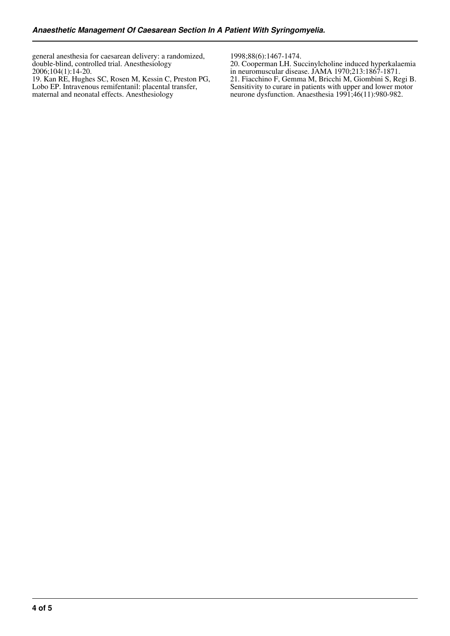general anesthesia for caesarean delivery: a randomized, double-blind, controlled trial. Anesthesiology 2006;104(1):14-20.

19. Kan RE, Hughes SC, Rosen M, Kessin C, Preston PG, Lobo EP. Intravenous remifentanil: placental transfer, maternal and neonatal effects. Anesthesiology

1998;88(6):1467-1474.

20. Cooperman LH. Succinylcholine induced hyperkalaemia in neuromuscular disease. JAMA 1970;213:1867-1871. 21. Fiacchino F, Gemma M, Bricchi M, Giombini S, Regi B. Sensitivity to curare in patients with upper and lower motor neurone dysfunction. Anaesthesia 1991;46(11):980-982.